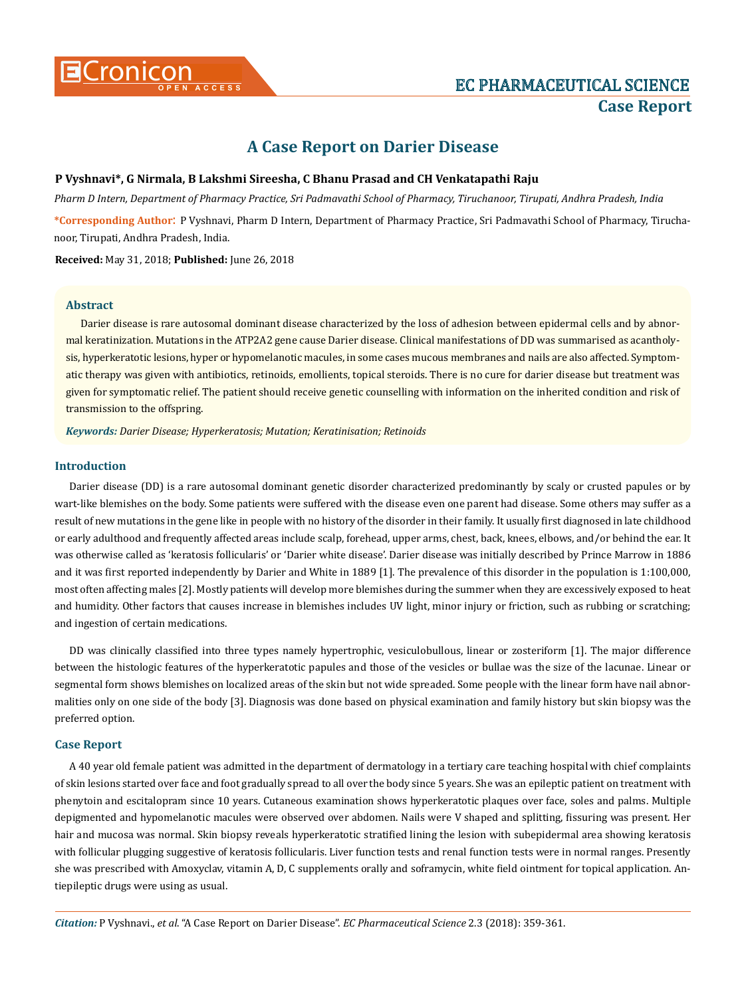# **A Case Report on Darier Disease**

# **P Vyshnavi\*, G Nirmala, B Lakshmi Sireesha, C Bhanu Prasad and CH Venkatapathi Raju**

*Pharm D Intern, Department of Pharmacy Practice, Sri Padmavathi School of Pharmacy, Tiruchanoor, Tirupati, Andhra Pradesh, India*

**\*Corresponding Author**: P Vyshnavi, Pharm D Intern, Department of Pharmacy Practice, Sri Padmavathi School of Pharmacy, Tiruchanoor, Tirupati, Andhra Pradesh, India.

**Received:** May 31, 2018; **Published:** June 26, 2018

# **Abstract**

Darier disease is rare autosomal dominant disease characterized by the loss of adhesion between epidermal cells and by abnormal keratinization. Mutations in the ATP2A2 gene cause Darier disease. Clinical manifestations of DD was summarised as acantholysis, hyperkeratotic lesions, hyper or hypomelanotic macules, in some cases mucous membranes and nails are also affected. Symptomatic therapy was given with antibiotics, retinoids, emollients, topical steroids. There is no cure for darier disease but treatment was given for symptomatic relief. The patient should receive genetic counselling with information on the inherited condition and risk of transmission to the offspring.

*Keywords: Darier Disease; Hyperkeratosis; Mutation; Keratinisation; Retinoids*

### **Introduction**

Darier disease (DD) is a rare autosomal dominant genetic disorder characterized predominantly by scaly or crusted papules or by wart-like blemishes on the body. Some patients were suffered with the disease even one parent had disease. Some others may suffer as a result of new mutations in the gene like in people with no history of the disorder in their family. It usually first diagnosed in late childhood or early adulthood and frequently affected areas include scalp, forehead, upper arms, chest, back, knees, elbows, and/or behind the ear. It was otherwise called as 'keratosis follicularis' or 'Darier white disease'. Darier disease was initially described by Prince Marrow in 1886 and it was first reported independently by Darier and White in 1889 [1]. The prevalence of this disorder in the population is 1:100,000, most often affecting males [2]. Mostly patients will develop more blemishes during the summer when they are excessively exposed to heat and humidity. Other factors that causes increase in blemishes includes UV light, minor injury or friction, such as rubbing or scratching; and ingestion of certain medications.

DD was clinically classified into three types namely hypertrophic, vesiculobullous, linear or zosteriform [1]. The major difference between the histologic features of the hyperkeratotic papules and those of the vesicles or bullae was the size of the lacunae. Linear or segmental form shows blemishes on localized areas of the skin but not wide spreaded. Some people with the linear form have nail abnormalities only on one side of the body [3]. Diagnosis was done based on physical examination and family history but skin biopsy was the preferred option.

#### **Case Report**

A 40 year old female patient was admitted in the department of dermatology in a tertiary care teaching hospital with chief complaints of skin lesions started over face and foot gradually spread to all over the body since 5 years. She was an epileptic patient on treatment with phenytoin and escitalopram since 10 years. Cutaneous examination shows hyperkeratotic plaques over face, soles and palms. Multiple depigmented and hypomelanotic macules were observed over abdomen. Nails were V shaped and splitting, fissuring was present. Her hair and mucosa was normal. Skin biopsy reveals hyperkeratotic stratified lining the lesion with subepidermal area showing keratosis with follicular plugging suggestive of keratosis follicularis. Liver function tests and renal function tests were in normal ranges. Presently she was prescribed with Amoxyclav, vitamin A, D, C supplements orally and soframycin, white field ointment for topical application. Antiepileptic drugs were using as usual.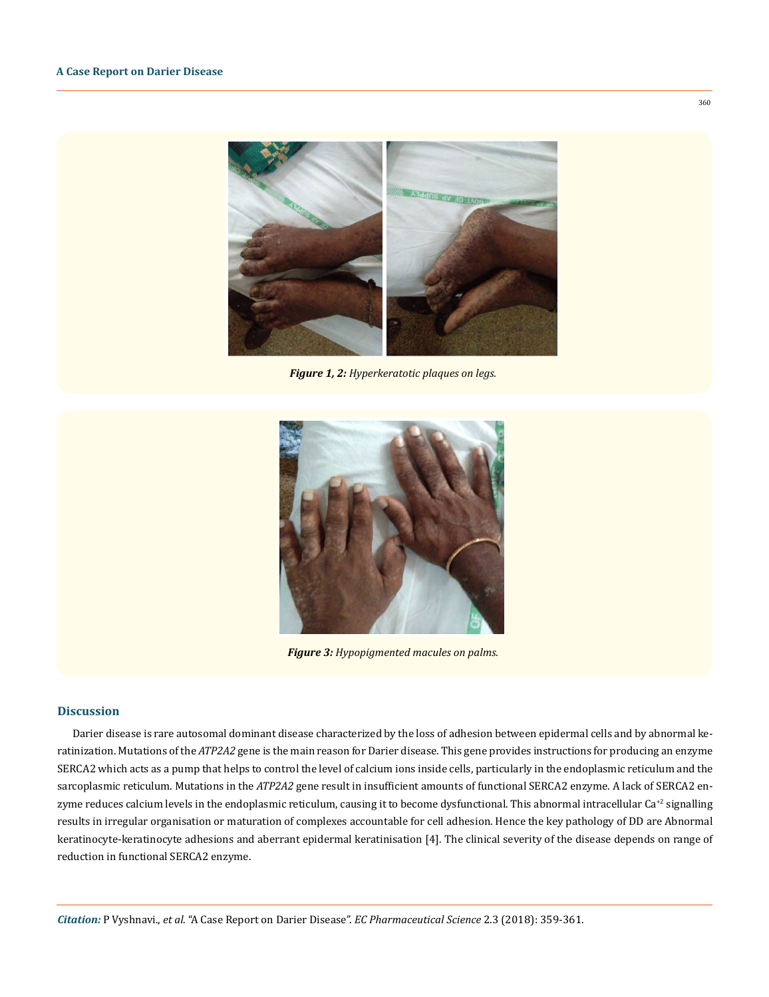

 *Figure 1, 2: Hyperkeratotic plaques on legs.* 



*Figure 3: Hypopigmented macules on palms.*

#### **Discussion**

Darier disease is rare autosomal dominant disease characterized by the loss of adhesion between epidermal cells and by abnormal keratinization. Mutations of the *ATP2A2* gene is the main reason for Darier disease. This gene provides instructions for producing an enzyme SERCA2 which acts as a pump that helps to control the level of calcium ions inside cells, particularly in the endoplasmic reticulum and the sarcoplasmic reticulum. Mutations in the *ATP2A2* gene result in insufficient amounts of functional SERCA2 enzyme. A lack of SERCA2 enzyme reduces calcium levels in the endoplasmic reticulum, causing it to become dysfunctional. This abnormal intracellular  $Ca^{2}$  signalling results in irregular organisation or maturation of complexes accountable for cell adhesion. Hence the key pathology of DD are Abnormal keratinocyte-keratinocyte adhesions and aberrant epidermal keratinisation [4]. The clinical severity of the disease depends on range of reduction in functional SERCA2 enzyme.